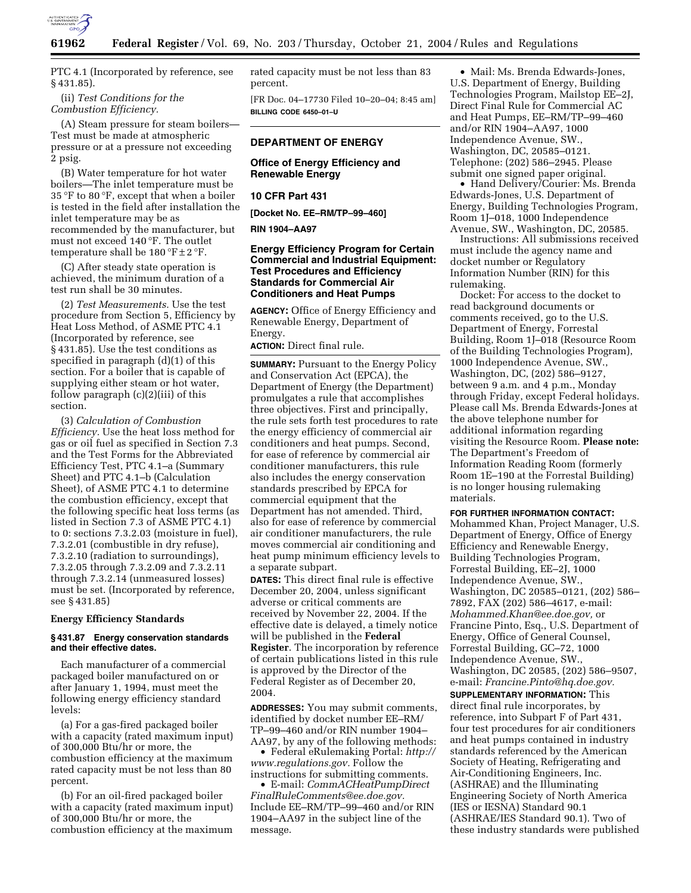

PTC 4.1 (Incorporated by reference, see § 431.85).

(ii) *Test Conditions for the Combustion Efficiency.*

(A) Steam pressure for steam boilers— Test must be made at atmospheric pressure or at a pressure not exceeding 2 psig.

(B) Water temperature for hot water boilers—The inlet temperature must be 35 °F to 80 °F, except that when a boiler is tested in the field after installation the inlet temperature may be as recommended by the manufacturer, but must not exceed 140 °F. The outlet temperature shall be  $180^{\circ}$ F $\pm$ 2 $^{\circ}$ F.

(C) After steady state operation is achieved, the minimum duration of a test run shall be 30 minutes.

(2) *Test Measurements.* Use the test procedure from Section 5, Efficiency by Heat Loss Method, of ASME PTC 4.1 (Incorporated by reference, see § 431.85). Use the test conditions as specified in paragraph (d)(1) of this section. For a boiler that is capable of supplying either steam or hot water, follow paragraph (c)(2)(iii) of this section.

(3) *Calculation of Combustion Efficiency.* Use the heat loss method for gas or oil fuel as specified in Section 7.3 and the Test Forms for the Abbreviated Efficiency Test, PTC 4.1–a (Summary Sheet) and PTC 4.1–b (Calculation Sheet), of ASME PTC 4.1 to determine the combustion efficiency, except that the following specific heat loss terms (as listed in Section 7.3 of ASME PTC 4.1) to 0: sections 7.3.2.03 (moisture in fuel), 7.3.2.01 (combustible in dry refuse), 7.3.2.10 (radiation to surroundings), 7.3.2.05 through 7.3.2.09 and 7.3.2.11 through 7.3.2.14 (unmeasured losses) must be set. (Incorporated by reference, see § 431.85)

#### **Energy Efficiency Standards**

#### **§ 431.87 Energy conservation standards and their effective dates.**

Each manufacturer of a commercial packaged boiler manufactured on or after January 1, 1994, must meet the following energy efficiency standard levels:

(a) For a gas-fired packaged boiler with a capacity (rated maximum input) of 300,000 Btu/hr or more, the combustion efficiency at the maximum rated capacity must be not less than 80 percent.

(b) For an oil-fired packaged boiler with a capacity (rated maximum input) of 300,000 Btu/hr or more, the combustion efficiency at the maximum rated capacity must be not less than 83 percent.

[FR Doc. 04–17730 Filed 10–20–04; 8:45 am] **BILLING CODE 6450–01–U**

# **DEPARTMENT OF ENERGY**

## **Office of Energy Efficiency and Renewable Energy**

### **10 CFR Part 431**

**[Docket No. EE–RM/TP–99–460]** 

## **RIN 1904–AA97**

# **Energy Efficiency Program for Certain Commercial and Industrial Equipment: Test Procedures and Efficiency Standards for Commercial Air Conditioners and Heat Pumps**

**AGENCY:** Office of Energy Efficiency and Renewable Energy, Department of Energy.

**ACTION:** Direct final rule.

**SUMMARY:** Pursuant to the Energy Policy and Conservation Act (EPCA), the Department of Energy (the Department) promulgates a rule that accomplishes three objectives. First and principally, the rule sets forth test procedures to rate the energy efficiency of commercial air conditioners and heat pumps. Second, for ease of reference by commercial air conditioner manufacturers, this rule also includes the energy conservation standards prescribed by EPCA for commercial equipment that the Department has not amended. Third, also for ease of reference by commercial air conditioner manufacturers, the rule moves commercial air conditioning and heat pump minimum efficiency levels to a separate subpart.

**DATES:** This direct final rule is effective December 20, 2004, unless significant adverse or critical comments are received by November 22, 2004. If the effective date is delayed, a timely notice will be published in the **Federal Register**. The incorporation by reference of certain publications listed in this rule is approved by the Director of the Federal Register as of December 20, 2004.

**ADDRESSES:** You may submit comments, identified by docket number EE–RM/ TP–99–460 and/or RIN number 1904– AA97, by any of the following methods:

• Federal eRulemaking Portal: *http:// www.regulations.gov.* Follow the instructions for submitting comments.

• E-mail: *CommACHeatPumpDirect FinalRuleComments@ee.doe.gov.* Include EE–RM/TP–99–460 and/or RIN 1904–AA97 in the subject line of the message.

• Mail: Ms. Brenda Edwards-Jones, U.S. Department of Energy, Building Technologies Program, Mailstop EE–2J, Direct Final Rule for Commercial AC and Heat Pumps, EE–RM/TP–99–460 and/or RIN 1904–AA97, 1000 Independence Avenue, SW., Washington, DC, 20585–0121. Telephone: (202) 586–2945. Please submit one signed paper original.

• Hand Delivery/Courier: Ms. Brenda Edwards-Jones, U.S. Department of Energy, Building Technologies Program, Room 1J–018, 1000 Independence Avenue, SW., Washington, DC, 20585.

Instructions: All submissions received must include the agency name and docket number or Regulatory Information Number (RIN) for this rulemaking.

Docket: For access to the docket to read background documents or comments received, go to the U.S. Department of Energy, Forrestal Building, Room 1J–018 (Resource Room of the Building Technologies Program), 1000 Independence Avenue, SW., Washington, DC, (202) 586–9127, between 9 a.m. and 4 p.m., Monday through Friday, except Federal holidays. Please call Ms. Brenda Edwards-Jones at the above telephone number for additional information regarding visiting the Resource Room. **Please note:** The Department's Freedom of Information Reading Room (formerly Room 1E–190 at the Forrestal Building) is no longer housing rulemaking materials.

#### **FOR FURTHER INFORMATION CONTACT:**

Mohammed Khan, Project Manager, U.S. Department of Energy, Office of Energy Efficiency and Renewable Energy, Building Technologies Program, Forrestal Building, EE–2J, 1000 Independence Avenue, SW., Washington, DC 20585–0121, (202) 586– 7892, FAX (202) 586–4617, e-mail: *Mohammed.Khan@ee.doe.gov,* or Francine Pinto, Esq., U.S. Department of Energy, Office of General Counsel, Forrestal Building, GC–72, 1000 Independence Avenue, SW., Washington, DC 20585, (202) 586–9507, e-mail: *Francine.Pinto@hq.doe.gov.*

**SUPPLEMENTARY INFORMATION:** This direct final rule incorporates, by reference, into Subpart F of Part 431, four test procedures for air conditioners and heat pumps contained in industry standards referenced by the American Society of Heating, Refrigerating and Air-Conditioning Engineers, Inc. (ASHRAE) and the Illuminating Engineering Society of North America (IES or IESNA) Standard 90.1 (ASHRAE/IES Standard 90.1). Two of these industry standards were published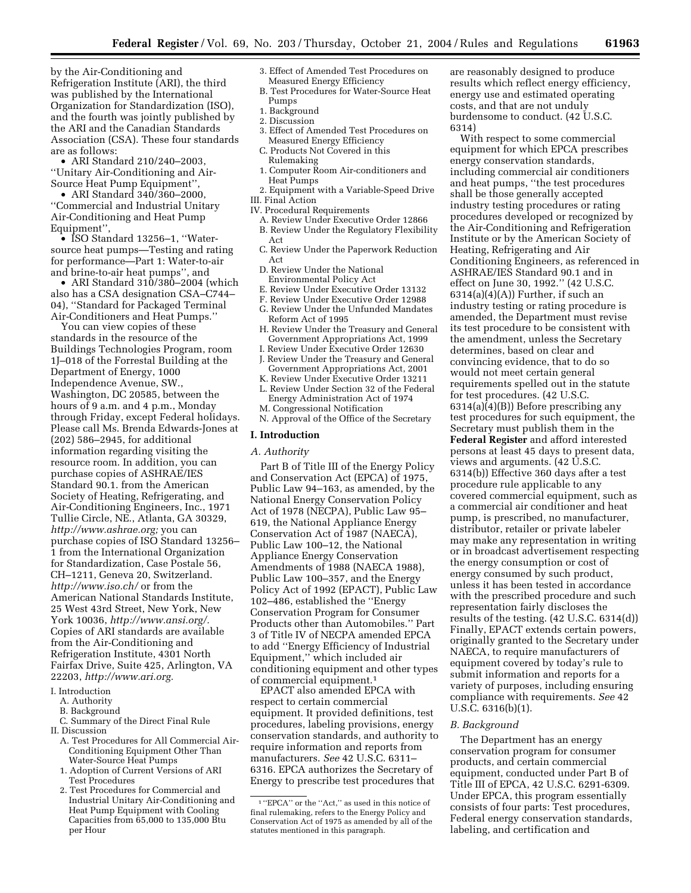by the Air-Conditioning and Refrigeration Institute (ARI), the third was published by the International Organization for Standardization (ISO), and the fourth was jointly published by the ARI and the Canadian Standards Association (CSA). These four standards are as follows:

• ARI Standard 210/240–2003, ''Unitary Air-Conditioning and Air-Source Heat Pump Equipment'',

• ARI Standard 340/360–2000, ''Commercial and Industrial Unitary Air-Conditioning and Heat Pump Equipment'',

• ISO Standard 13256–1, ''Watersource heat pumps—Testing and rating for performance—Part 1: Water-to-air and brine-to-air heat pumps'', and

• ARI Standard 310/380-2004 (which also has a CSA designation CSA–C744– 04), ''Standard for Packaged Terminal Air-Conditioners and Heat Pumps.''

You can view copies of these standards in the resource of the Buildings Technologies Program, room 1J–018 of the Forrestal Building at the Department of Energy, 1000 Independence Avenue, SW., Washington, DC 20585, between the hours of 9 a.m. and 4 p.m., Monday through Friday, except Federal holidays. Please call Ms. Brenda Edwards-Jones at (202) 586–2945, for additional information regarding visiting the resource room. In addition, you can purchase copies of ASHRAE/IES Standard 90.1. from the American Society of Heating, Refrigerating, and Air-Conditioning Engineers, Inc., 1971 Tullie Circle, NE., Atlanta, GA 30329, *http://www.ashrae.org;* you can purchase copies of ISO Standard 13256– 1 from the International Organization for Standardization, Case Postale 56, CH–1211, Geneva 20, Switzerland. *http://www.iso.ch/* or from the American National Standards Institute, 25 West 43rd Street, New York, New York 10036, *http://www.ansi.org/.* Copies of ARI standards are available from the Air-Conditioning and Refrigeration Institute, 4301 North Fairfax Drive, Suite 425, Arlington, VA 22203, *http://www.ari.org.*

- I. Introduction
	- A. Authority
	- B. Background
- C. Summary of the Direct Final Rule II. Discussion
	- A. Test Procedures for All Commercial Air-Conditioning Equipment Other Than Water-Source Heat Pumps
	- 1. Adoption of Current Versions of ARI Test Procedures
	- 2. Test Procedures for Commercial and Industrial Unitary Air-Conditioning and Heat Pump Equipment with Cooling Capacities from 65,000 to 135,000 Btu per Hour
- 3. Effect of Amended Test Procedures on Measured Energy Efficiency
- B. Test Procedures for Water-Source Heat Pumps
- 1. Background
- 2. Discussion
- 3. Effect of Amended Test Procedures on Measured Energy Efficiency
- C. Products Not Covered in this
- Rulemaking
- 1. Computer Room Air-conditioners and Heat Pumps
- 2. Equipment with a Variable-Speed Drive
- III. Final Action
- IV. Procedural Requirements
	- A. Review Under Executive Order 12866 B. Review Under the Regulatory Flexibility
	- Act
	- C. Review Under the Paperwork Reduction Act
	- D. Review Under the National Environmental Policy Act
	- E. Review Under Executive Order 13132
	- F. Review Under Executive Order 12988
	- G. Review Under the Unfunded Mandates Reform Act of 1995
	- H. Review Under the Treasury and General Government Appropriations Act, 1999
	- I. Review Under Executive Order 12630 J. Review Under the Treasury and General Government Appropriations Act, 2001
	- K. Review Under Executive Order 13211
	- L. Review Under Section 32 of the Federal Energy Administration Act of 1974
	- M. Congressional Notification
	- N. Approval of the Office of the Secretary

# **I. Introduction**

# *A. Authority*

Part B of Title III of the Energy Policy and Conservation Act (EPCA) of 1975, Public Law 94–163, as amended, by the National Energy Conservation Policy Act of 1978 (NECPA), Public Law 95– 619, the National Appliance Energy Conservation Act of 1987 (NAECA), Public Law 100–12, the National Appliance Energy Conservation Amendments of 1988 (NAECA 1988), Public Law 100–357, and the Energy Policy Act of 1992 (EPACT), Public Law 102–486, established the ''Energy Conservation Program for Consumer Products other than Automobiles.'' Part 3 of Title IV of NECPA amended EPCA to add ''Energy Efficiency of Industrial Equipment,'' which included air conditioning equipment and other types of commercial equipment.1

EPACT also amended EPCA with respect to certain commercial equipment. It provided definitions, test procedures, labeling provisions, energy conservation standards, and authority to require information and reports from manufacturers. *See* 42 U.S.C. 6311– 6316. EPCA authorizes the Secretary of Energy to prescribe test procedures that

are reasonably designed to produce results which reflect energy efficiency, energy use and estimated operating costs, and that are not unduly burdensome to conduct. (42 U.S.C. 6314)

With respect to some commercial equipment for which EPCA prescribes energy conservation standards, including commercial air conditioners and heat pumps, ''the test procedures shall be those generally accepted industry testing procedures or rating procedures developed or recognized by the Air-Conditioning and Refrigeration Institute or by the American Society of Heating, Refrigerating and Air Conditioning Engineers, as referenced in ASHRAE/IES Standard 90.1 and in effect on June 30, 1992.'' (42 U.S.C.  $6314(a)(4)(A)$  Further, if such an industry testing or rating procedure is amended, the Department must revise its test procedure to be consistent with the amendment, unless the Secretary determines, based on clear and convincing evidence, that to do so would not meet certain general requirements spelled out in the statute for test procedures. (42 U.S.C. 6314(a)(4)(B)) Before prescribing any test procedures for such equipment, the Secretary must publish them in the **Federal Register** and afford interested persons at least 45 days to present data, views and arguments. (42 U.S.C. 6314(b)) Effective 360 days after a test procedure rule applicable to any covered commercial equipment, such as a commercial air conditioner and heat pump, is prescribed, no manufacturer, distributor, retailer or private labeler may make any representation in writing or in broadcast advertisement respecting the energy consumption or cost of energy consumed by such product, unless it has been tested in accordance with the prescribed procedure and such representation fairly discloses the results of the testing. (42 U.S.C. 6314(d)) Finally, EPACT extends certain powers, originally granted to the Secretary under NAECA, to require manufacturers of equipment covered by today's rule to submit information and reports for a variety of purposes, including ensuring compliance with requirements. *See* 42 U.S.C. 6316(b)(1).

## *B. Background*

The Department has an energy conservation program for consumer products, and certain commercial equipment, conducted under Part B of Title III of EPCA, 42 U.S.C. 6291-6309. Under EPCA, this program essentially consists of four parts: Test procedures, Federal energy conservation standards, labeling, and certification and

<sup>1</sup> ''EPCA'' or the ''Act,'' as used in this notice of final rulemaking, refers to the Energy Policy and Conservation Act of 1975 as amended by all of the statutes mentioned in this paragraph.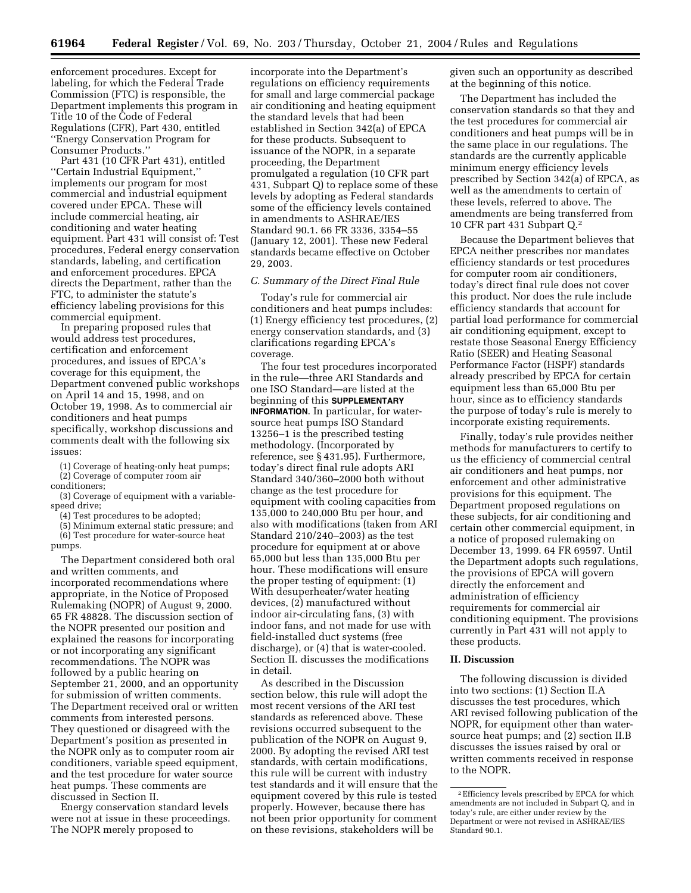enforcement procedures. Except for labeling, for which the Federal Trade Commission (FTC) is responsible, the Department implements this program in Title 10 of the Code of Federal Regulations (CFR), Part 430, entitled ''Energy Conservation Program for Consumer Products.''

Part 431 (10 CFR Part 431), entitled ''Certain Industrial Equipment,'' implements our program for most commercial and industrial equipment covered under EPCA. These will include commercial heating, air conditioning and water heating equipment. Part 431 will consist of: Test procedures, Federal energy conservation standards, labeling, and certification and enforcement procedures. EPCA directs the Department, rather than the FTC, to administer the statute's efficiency labeling provisions for this commercial equipment.

In preparing proposed rules that would address test procedures, certification and enforcement procedures, and issues of EPCA's coverage for this equipment, the Department convened public workshops on April 14 and 15, 1998, and on October 19, 1998. As to commercial air conditioners and heat pumps specifically, workshop discussions and comments dealt with the following six issues:

(1) Coverage of heating-only heat pumps;

(2) Coverage of computer room air conditioners;

(3) Coverage of equipment with a variablespeed drive;

(4) Test procedures to be adopted;

(5) Minimum external static pressure; and (6) Test procedure for water-source heat pumps.

The Department considered both oral and written comments, and incorporated recommendations where appropriate, in the Notice of Proposed Rulemaking (NOPR) of August 9, 2000. 65 FR 48828. The discussion section of the NOPR presented our position and explained the reasons for incorporating or not incorporating any significant recommendations. The NOPR was followed by a public hearing on September 21, 2000, and an opportunity for submission of written comments. The Department received oral or written comments from interested persons. They questioned or disagreed with the Department's position as presented in the NOPR only as to computer room air conditioners, variable speed equipment, and the test procedure for water source heat pumps. These comments are discussed in Section II.

Energy conservation standard levels were not at issue in these proceedings. The NOPR merely proposed to

incorporate into the Department's regulations on efficiency requirements for small and large commercial package air conditioning and heating equipment the standard levels that had been established in Section 342(a) of EPCA for these products. Subsequent to issuance of the NOPR, in a separate proceeding, the Department promulgated a regulation (10 CFR part 431, Subpart Q) to replace some of these levels by adopting as Federal standards some of the efficiency levels contained in amendments to ASHRAE/IES Standard 90.1. 66 FR 3336, 3354–55 (January 12, 2001). These new Federal standards became effective on October 29, 2003.

### *C. Summary of the Direct Final Rule*

Today's rule for commercial air conditioners and heat pumps includes: (1) Energy efficiency test procedures, (2) energy conservation standards, and (3) clarifications regarding EPCA's coverage.

The four test procedures incorporated in the rule—three ARI Standards and one ISO Standard—are listed at the beginning of this **SUPPLEMENTARY INFORMATION**. In particular, for watersource heat pumps ISO Standard 13256–1 is the prescribed testing methodology. (Incorporated by reference, see § 431.95). Furthermore, today's direct final rule adopts ARI Standard 340/360–2000 both without change as the test procedure for equipment with cooling capacities from 135,000 to 240,000 Btu per hour, and also with modifications (taken from ARI Standard 210/240–2003) as the test procedure for equipment at or above 65,000 but less than 135,000 Btu per hour. These modifications will ensure the proper testing of equipment: (1) With desuperheater/water heating devices, (2) manufactured without indoor air-circulating fans, (3) with indoor fans, and not made for use with field-installed duct systems (free discharge), or (4) that is water-cooled. Section II. discusses the modifications in detail.

As described in the Discussion section below, this rule will adopt the most recent versions of the ARI test standards as referenced above. These revisions occurred subsequent to the publication of the NOPR on August 9, 2000. By adopting the revised ARI test standards, with certain modifications, this rule will be current with industry test standards and it will ensure that the equipment covered by this rule is tested properly. However, because there has not been prior opportunity for comment on these revisions, stakeholders will be

given such an opportunity as described at the beginning of this notice.

The Department has included the conservation standards so that they and the test procedures for commercial air conditioners and heat pumps will be in the same place in our regulations. The standards are the currently applicable minimum energy efficiency levels prescribed by Section 342(a) of EPCA, as well as the amendments to certain of these levels, referred to above. The amendments are being transferred from 10 CFR part 431 Subpart Q.2

Because the Department believes that EPCA neither prescribes nor mandates efficiency standards or test procedures for computer room air conditioners, today's direct final rule does not cover this product. Nor does the rule include efficiency standards that account for partial load performance for commercial air conditioning equipment, except to restate those Seasonal Energy Efficiency Ratio (SEER) and Heating Seasonal Performance Factor (HSPF) standards already prescribed by EPCA for certain equipment less than 65,000 Btu per hour, since as to efficiency standards the purpose of today's rule is merely to incorporate existing requirements.

Finally, today's rule provides neither methods for manufacturers to certify to us the efficiency of commercial central air conditioners and heat pumps, nor enforcement and other administrative provisions for this equipment. The Department proposed regulations on these subjects, for air conditioning and certain other commercial equipment, in a notice of proposed rulemaking on December 13, 1999. 64 FR 69597. Until the Department adopts such regulations, the provisions of EPCA will govern directly the enforcement and administration of efficiency requirements for commercial air conditioning equipment. The provisions currently in Part 431 will not apply to these products.

#### **II. Discussion**

The following discussion is divided into two sections: (1) Section II.A discusses the test procedures, which ARI revised following publication of the NOPR, for equipment other than watersource heat pumps; and (2) section II.B discusses the issues raised by oral or written comments received in response to the NOPR.

<sup>2</sup>Efficiency levels prescribed by EPCA for which amendments are not included in Subpart Q, and in today's rule, are either under review by the Department or were not revised in ASHRAE/IES Standard 90.1.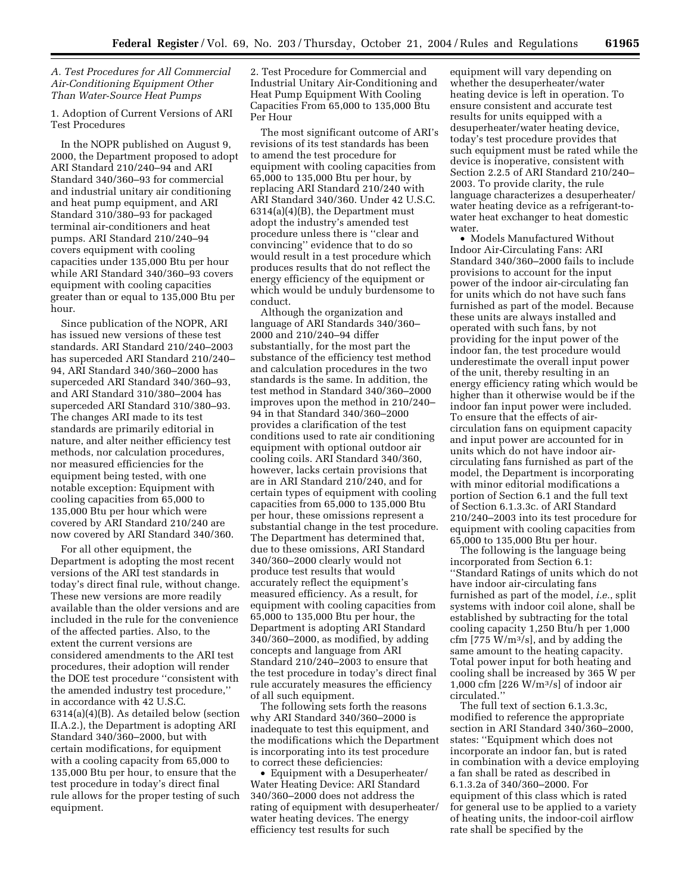# *A. Test Procedures for All Commercial Air-Conditioning Equipment Other Than Water-Source Heat Pumps*

1. Adoption of Current Versions of ARI Test Procedures

In the NOPR published on August 9, 2000, the Department proposed to adopt ARI Standard 210/240–94 and ARI Standard 340/360–93 for commercial and industrial unitary air conditioning and heat pump equipment, and ARI Standard 310/380–93 for packaged terminal air-conditioners and heat pumps. ARI Standard 210/240–94 covers equipment with cooling capacities under 135,000 Btu per hour while ARI Standard 340/360–93 covers equipment with cooling capacities greater than or equal to 135,000 Btu per hour.

Since publication of the NOPR, ARI has issued new versions of these test standards. ARI Standard 210/240–2003 has superceded ARI Standard 210/240– 94, ARI Standard 340/360–2000 has superceded ARI Standard 340/360–93, and ARI Standard 310/380–2004 has superceded ARI Standard 310/380–93. The changes ARI made to its test standards are primarily editorial in nature, and alter neither efficiency test methods, nor calculation procedures, nor measured efficiencies for the equipment being tested, with one notable exception: Equipment with cooling capacities from 65,000 to 135,000 Btu per hour which were covered by ARI Standard 210/240 are now covered by ARI Standard 340/360.

For all other equipment, the Department is adopting the most recent versions of the ARI test standards in today's direct final rule, without change. These new versions are more readily available than the older versions and are included in the rule for the convenience of the affected parties. Also, to the extent the current versions are considered amendments to the ARI test procedures, their adoption will render the DOE test procedure ''consistent with the amended industry test procedure,'' in accordance with 42 U.S.C. 6314(a)(4)(B). As detailed below (section II.A.2.), the Department is adopting ARI Standard 340/360–2000, but with certain modifications, for equipment with a cooling capacity from 65,000 to 135,000 Btu per hour, to ensure that the test procedure in today's direct final rule allows for the proper testing of such equipment.

2. Test Procedure for Commercial and Industrial Unitary Air-Conditioning and Heat Pump Equipment With Cooling Capacities From 65,000 to 135,000 Btu Per Hour

The most significant outcome of ARI's revisions of its test standards has been to amend the test procedure for equipment with cooling capacities from 65,000 to 135,000 Btu per hour, by replacing ARI Standard 210/240 with ARI Standard 340/360. Under 42 U.S.C. 6314(a)(4)(B), the Department must adopt the industry's amended test procedure unless there is ''clear and convincing'' evidence that to do so would result in a test procedure which produces results that do not reflect the energy efficiency of the equipment or which would be unduly burdensome to conduct.

Although the organization and language of ARI Standards 340/360– 2000 and 210/240–94 differ substantially, for the most part the substance of the efficiency test method and calculation procedures in the two standards is the same. In addition, the test method in Standard 340/360–2000 improves upon the method in 210/240– 94 in that Standard 340/360–2000 provides a clarification of the test conditions used to rate air conditioning equipment with optional outdoor air cooling coils. ARI Standard 340/360, however, lacks certain provisions that are in ARI Standard 210/240, and for certain types of equipment with cooling capacities from 65,000 to 135,000 Btu per hour, these omissions represent a substantial change in the test procedure. The Department has determined that, due to these omissions, ARI Standard 340/360–2000 clearly would not produce test results that would accurately reflect the equipment's measured efficiency. As a result, for equipment with cooling capacities from 65,000 to 135,000 Btu per hour, the Department is adopting ARI Standard 340/360–2000, as modified, by adding concepts and language from ARI Standard 210/240–2003 to ensure that the test procedure in today's direct final rule accurately measures the efficiency of all such equipment.

The following sets forth the reasons why ARI Standard 340/360–2000 is inadequate to test this equipment, and the modifications which the Department is incorporating into its test procedure to correct these deficiencies:

• Equipment with a Desuperheater/ Water Heating Device: ARI Standard 340/360–2000 does not address the rating of equipment with desuperheater/ water heating devices. The energy efficiency test results for such

equipment will vary depending on whether the desuperheater/water heating device is left in operation. To ensure consistent and accurate test results for units equipped with a desuperheater/water heating device, today's test procedure provides that such equipment must be rated while the device is inoperative, consistent with Section 2.2.5 of ARI Standard 210/240– 2003. To provide clarity, the rule language characterizes a desuperheater/ water heating device as a refrigerant-towater heat exchanger to heat domestic water.

• Models Manufactured Without Indoor Air-Circulating Fans: ARI Standard 340/360–2000 fails to include provisions to account for the input power of the indoor air-circulating fan for units which do not have such fans furnished as part of the model. Because these units are always installed and operated with such fans, by not providing for the input power of the indoor fan, the test procedure would underestimate the overall input power of the unit, thereby resulting in an energy efficiency rating which would be higher than it otherwise would be if the indoor fan input power were included. To ensure that the effects of aircirculation fans on equipment capacity and input power are accounted for in units which do not have indoor aircirculating fans furnished as part of the model, the Department is incorporating with minor editorial modifications a portion of Section 6.1 and the full text of Section 6.1.3.3c. of ARI Standard 210/240–2003 into its test procedure for equipment with cooling capacities from 65,000 to 135,000 Btu per hour.

The following is the language being incorporated from Section 6.1: ''Standard Ratings of units which do not have indoor air-circulating fans furnished as part of the model, *i.e.*, split systems with indoor coil alone, shall be established by subtracting for the total cooling capacity 1,250 Btu/h per 1,000 cfm [775 W/m3/s], and by adding the same amount to the heating capacity. Total power input for both heating and cooling shall be increased by 365 W per 1,000 cfm [226 W/m3/s] of indoor air circulated.''

The full text of section 6.1.3.3c, modified to reference the appropriate section in ARI Standard 340/360–2000, states: ''Equipment which does not incorporate an indoor fan, but is rated in combination with a device employing a fan shall be rated as described in 6.1.3.2a of 340/360–2000. For equipment of this class which is rated for general use to be applied to a variety of heating units, the indoor-coil airflow rate shall be specified by the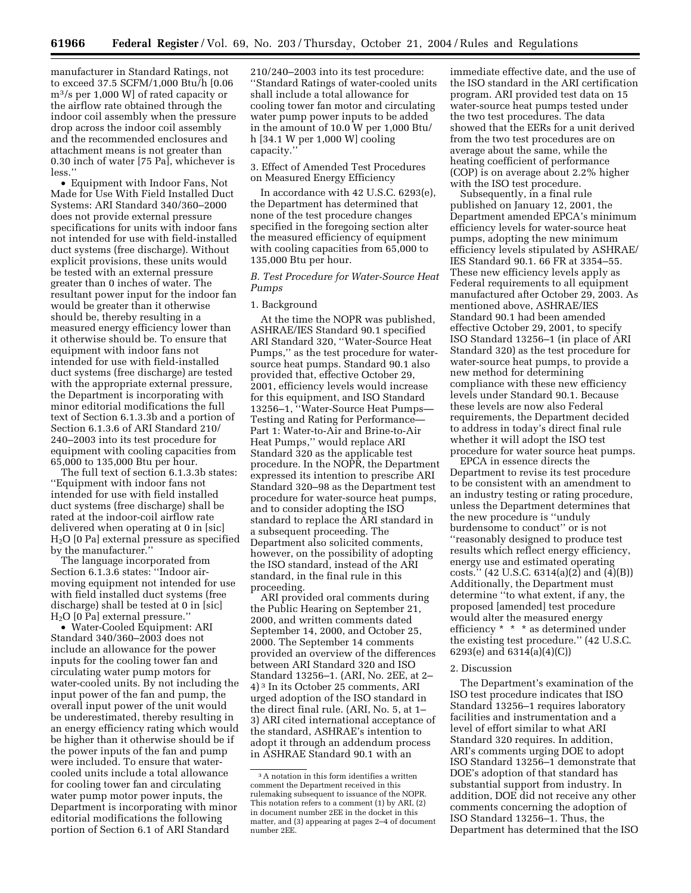manufacturer in Standard Ratings, not to exceed 37.5 SCFM/1,000 Btu/h [0.06 m3/s per 1,000 W] of rated capacity or the airflow rate obtained through the indoor coil assembly when the pressure drop across the indoor coil assembly and the recommended enclosures and attachment means is not greater than 0.30 inch of water [75 Pa], whichever is less.''

• Equipment with Indoor Fans, Not Made for Use With Field Installed Duct Systems: ARI Standard 340/360–2000 does not provide external pressure specifications for units with indoor fans not intended for use with field-installed duct systems (free discharge). Without explicit provisions, these units would be tested with an external pressure greater than 0 inches of water. The resultant power input for the indoor fan would be greater than it otherwise should be, thereby resulting in a measured energy efficiency lower than it otherwise should be. To ensure that equipment with indoor fans not intended for use with field-installed duct systems (free discharge) are tested with the appropriate external pressure, the Department is incorporating with minor editorial modifications the full text of Section 6.1.3.3b and a portion of Section 6.1.3.6 of ARI Standard 210/ 240–2003 into its test procedure for equipment with cooling capacities from 65,000 to 135,000 Btu per hour.

The full text of section 6.1.3.3b states: ''Equipment with indoor fans not intended for use with field installed duct systems (free discharge) shall be rated at the indoor-coil airflow rate delivered when operating at 0 in [sic] H2O [0 Pa] external pressure as specified by the manufacturer.''

The language incorporated from Section 6.1.3.6 states: ''Indoor airmoving equipment not intended for use with field installed duct systems (free discharge) shall be tested at 0 in [sic]  $H<sub>2</sub>O$  [0  $\bar{P}a$ ] external pressure."

• Water-Cooled Equipment: ARI Standard 340/360–2003 does not include an allowance for the power inputs for the cooling tower fan and circulating water pump motors for water-cooled units. By not including the input power of the fan and pump, the overall input power of the unit would be underestimated, thereby resulting in an energy efficiency rating which would be higher than it otherwise should be if the power inputs of the fan and pump were included. To ensure that watercooled units include a total allowance for cooling tower fan and circulating water pump motor power inputs, the Department is incorporating with minor editorial modifications the following portion of Section 6.1 of ARI Standard

210/240–2003 into its test procedure: ''Standard Ratings of water-cooled units shall include a total allowance for cooling tower fan motor and circulating water pump power inputs to be added in the amount of 10.0 W per 1,000 Btu/ h [34.1 W per 1,000 W] cooling capacity.''

3. Effect of Amended Test Procedures on Measured Energy Efficiency

In accordance with 42 U.S.C. 6293(e), the Department has determined that none of the test procedure changes specified in the foregoing section alter the measured efficiency of equipment with cooling capacities from 65,000 to 135,000 Btu per hour.

*B. Test Procedure for Water-Source Heat Pumps* 

# 1. Background

At the time the NOPR was published, ASHRAE/IES Standard 90.1 specified ARI Standard 320, ''Water-Source Heat Pumps,'' as the test procedure for watersource heat pumps. Standard 90.1 also provided that, effective October 29, 2001, efficiency levels would increase for this equipment, and ISO Standard 13256–1, ''Water-Source Heat Pumps— Testing and Rating for Performance— Part 1: Water-to-Air and Brine-to-Air Heat Pumps,'' would replace ARI Standard 320 as the applicable test procedure. In the NOPR, the Department expressed its intention to prescribe ARI Standard 320–98 as the Department test procedure for water-source heat pumps, and to consider adopting the ISO standard to replace the ARI standard in a subsequent proceeding. The Department also solicited comments, however, on the possibility of adopting the ISO standard, instead of the ARI standard, in the final rule in this proceeding.

ARI provided oral comments during the Public Hearing on September 21, 2000, and written comments dated September 14, 2000, and October 25, 2000. The September 14 comments provided an overview of the differences between ARI Standard 320 and ISO Standard 13256–1. (ARI, No. 2EE, at 2– 4) 3 In its October 25 comments, ARI urged adoption of the ISO standard in the direct final rule. (ARI, No. 5, at 1– 3) ARI cited international acceptance of the standard, ASHRAE's intention to adopt it through an addendum process in ASHRAE Standard 90.1 with an

immediate effective date, and the use of the ISO standard in the ARI certification program. ARI provided test data on 15 water-source heat pumps tested under the two test procedures. The data showed that the EERs for a unit derived from the two test procedures are on average about the same, while the heating coefficient of performance (COP) is on average about 2.2% higher with the ISO test procedure.

Subsequently, in a final rule published on January 12, 2001, the Department amended EPCA's minimum efficiency levels for water-source heat pumps, adopting the new minimum efficiency levels stipulated by ASHRAE/ IES Standard 90.1. 66 FR at 3354–55. These new efficiency levels apply as Federal requirements to all equipment manufactured after October 29, 2003. As mentioned above, ASHRAE/IES Standard 90.1 had been amended effective October 29, 2001, to specify ISO Standard 13256–1 (in place of ARI Standard 320) as the test procedure for water-source heat pumps, to provide a new method for determining compliance with these new efficiency levels under Standard 90.1. Because these levels are now also Federal requirements, the Department decided to address in today's direct final rule whether it will adopt the ISO test procedure for water source heat pumps. EPCA in essence directs the

Department to revise its test procedure to be consistent with an amendment to an industry testing or rating procedure, unless the Department determines that the new procedure is ''unduly burdensome to conduct'' or is not ''reasonably designed to produce test results which reflect energy efficiency, energy use and estimated operating costs.'' (42 U.S.C. 6314(a)(2) and (4)(B)) Additionally, the Department must determine ''to what extent, if any, the proposed [amended] test procedure would alter the measured energy efficiency \* \* \* as determined under the existing test procedure.'' (42 U.S.C. 6293(e) and 6314(a)(4)(C))

#### 2. Discussion

The Department's examination of the ISO test procedure indicates that ISO Standard 13256–1 requires laboratory facilities and instrumentation and a level of effort similar to what ARI Standard 320 requires. In addition, ARI's comments urging DOE to adopt ISO Standard 13256–1 demonstrate that DOE's adoption of that standard has substantial support from industry. In addition, DOE did not receive any other comments concerning the adoption of ISO Standard 13256–1. Thus, the Department has determined that the ISO

<sup>3</sup>A notation in this form identifies a written comment the Department received in this rulemaking subsequent to issuance of the NOPR. This notation refers to a comment (1) by ARI, (2) in document number 2EE in the docket in this matter, and (3) appearing at pages 2–4 of document number 2EE.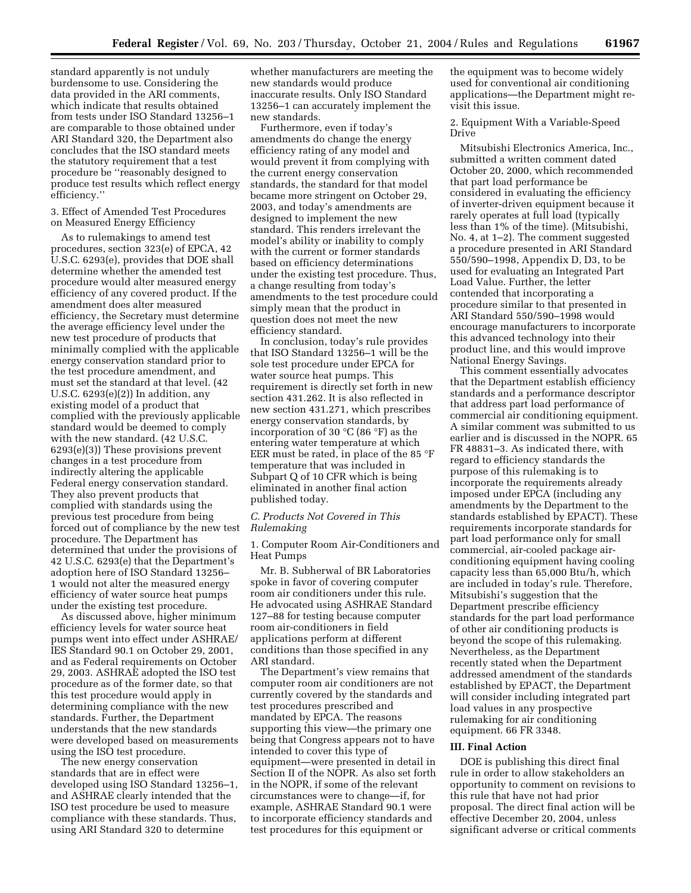standard apparently is not unduly burdensome to use. Considering the data provided in the ARI comments, which indicate that results obtained from tests under ISO Standard 13256–1 are comparable to those obtained under ARI Standard 320, the Department also concludes that the ISO standard meets the statutory requirement that a test procedure be ''reasonably designed to produce test results which reflect energy efficiency.''

## 3. Effect of Amended Test Procedures on Measured Energy Efficiency

As to rulemakings to amend test procedures, section 323(e) of EPCA, 42 U.S.C. 6293(e), provides that DOE shall determine whether the amended test procedure would alter measured energy efficiency of any covered product. If the amendment does alter measured efficiency, the Secretary must determine the average efficiency level under the new test procedure of products that minimally complied with the applicable energy conservation standard prior to the test procedure amendment, and must set the standard at that level. (42 U.S.C. 6293(e)(2)) In addition, any existing model of a product that complied with the previously applicable standard would be deemed to comply with the new standard. (42 U.S.C. 6293(e)(3)) These provisions prevent changes in a test procedure from indirectly altering the applicable Federal energy conservation standard. They also prevent products that complied with standards using the previous test procedure from being forced out of compliance by the new test procedure. The Department has determined that under the provisions of 42 U.S.C. 6293(e) that the Department's adoption here of ISO Standard 13256– 1 would not alter the measured energy efficiency of water source heat pumps under the existing test procedure.

As discussed above, higher minimum efficiency levels for water source heat pumps went into effect under ASHRAE/ IES Standard 90.1 on October 29, 2001, and as Federal requirements on October 29, 2003. ASHRAE adopted the ISO test procedure as of the former date, so that this test procedure would apply in determining compliance with the new standards. Further, the Department understands that the new standards were developed based on measurements using the ISO test procedure.

The new energy conservation standards that are in effect were developed using ISO Standard 13256–1, and ASHRAE clearly intended that the ISO test procedure be used to measure compliance with these standards. Thus, using ARI Standard 320 to determine

whether manufacturers are meeting the new standards would produce inaccurate results. Only ISO Standard 13256–1 can accurately implement the new standards.

Furthermore, even if today's amendments do change the energy efficiency rating of any model and would prevent it from complying with the current energy conservation standards, the standard for that model became more stringent on October 29, 2003, and today's amendments are designed to implement the new standard. This renders irrelevant the model's ability or inability to comply with the current or former standards based on efficiency determinations under the existing test procedure. Thus, a change resulting from today's amendments to the test procedure could simply mean that the product in question does not meet the new efficiency standard.

In conclusion, today's rule provides that ISO Standard 13256–1 will be the sole test procedure under EPCA for water source heat pumps. This requirement is directly set forth in new section 431.262. It is also reflected in new section 431.271, which prescribes energy conservation standards, by incorporation of 30 °C (86 °F) as the entering water temperature at which EER must be rated, in place of the 85 °F temperature that was included in Subpart Q of 10 CFR which is being eliminated in another final action published today.

## *C. Products Not Covered in This Rulemaking*

1. Computer Room Air-Conditioners and Heat Pumps

Mr. B. Subherwal of BR Laboratories spoke in favor of covering computer room air conditioners under this rule. He advocated using ASHRAE Standard 127–88 for testing because computer room air-conditioners in field applications perform at different conditions than those specified in any ARI standard.

The Department's view remains that computer room air conditioners are not currently covered by the standards and test procedures prescribed and mandated by EPCA. The reasons supporting this view—the primary one being that Congress appears not to have intended to cover this type of equipment—were presented in detail in Section II of the NOPR. As also set forth in the NOPR, if some of the relevant circumstances were to change—if, for example, ASHRAE Standard 90.1 were to incorporate efficiency standards and test procedures for this equipment or

the equipment was to become widely used for conventional air conditioning applications—the Department might revisit this issue.

2. Equipment With a Variable-Speed Drive

Mitsubishi Electronics America, Inc., submitted a written comment dated October 20, 2000, which recommended that part load performance be considered in evaluating the efficiency of inverter-driven equipment because it rarely operates at full load (typically less than 1% of the time). (Mitsubishi, No. 4, at 1–2). The comment suggested a procedure presented in ARI Standard 550/590–1998, Appendix D, D3, to be used for evaluating an Integrated Part Load Value. Further, the letter contended that incorporating a procedure similar to that presented in ARI Standard 550/590–1998 would encourage manufacturers to incorporate this advanced technology into their product line, and this would improve National Energy Savings.

This comment essentially advocates that the Department establish efficiency standards and a performance descriptor that address part load performance of commercial air conditioning equipment. A similar comment was submitted to us earlier and is discussed in the NOPR. 65 FR 48831–3. As indicated there, with regard to efficiency standards the purpose of this rulemaking is to incorporate the requirements already imposed under EPCA (including any amendments by the Department to the standards established by EPACT). These requirements incorporate standards for part load performance only for small commercial, air-cooled package airconditioning equipment having cooling capacity less than 65,000 Btu/h, which are included in today's rule. Therefore, Mitsubishi's suggestion that the Department prescribe efficiency standards for the part load performance of other air conditioning products is beyond the scope of this rulemaking. Nevertheless, as the Department recently stated when the Department addressed amendment of the standards established by EPACT, the Department will consider including integrated part load values in any prospective rulemaking for air conditioning equipment. 66 FR 3348.

#### **III. Final Action**

DOE is publishing this direct final rule in order to allow stakeholders an opportunity to comment on revisions to this rule that have not had prior proposal. The direct final action will be effective December 20, 2004, unless significant adverse or critical comments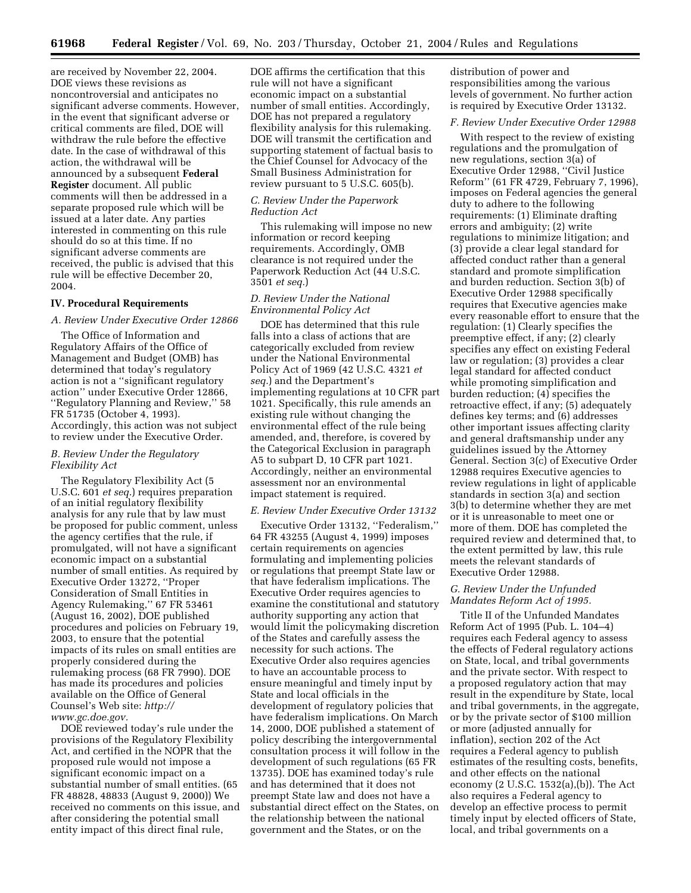are received by November 22, 2004. DOE views these revisions as noncontroversial and anticipates no significant adverse comments. However, in the event that significant adverse or critical comments are filed, DOE will withdraw the rule before the effective date. In the case of withdrawal of this action, the withdrawal will be announced by a subsequent **Federal Register** document. All public comments will then be addressed in a separate proposed rule which will be issued at a later date. Any parties interested in commenting on this rule should do so at this time. If no significant adverse comments are received, the public is advised that this rule will be effective December 20, 2004.

# **IV. Procedural Requirements**

# *A. Review Under Executive Order 12866*

The Office of Information and Regulatory Affairs of the Office of Management and Budget (OMB) has determined that today's regulatory action is not a ''significant regulatory action'' under Executive Order 12866, ''Regulatory Planning and Review,'' 58 FR 51735 (October 4, 1993). Accordingly, this action was not subject to review under the Executive Order.

#### *B. Review Under the Regulatory Flexibility Act*

The Regulatory Flexibility Act (5 U.S.C. 601 *et seq.*) requires preparation of an initial regulatory flexibility analysis for any rule that by law must be proposed for public comment, unless the agency certifies that the rule, if promulgated, will not have a significant economic impact on a substantial number of small entities. As required by Executive Order 13272, ''Proper Consideration of Small Entities in Agency Rulemaking,'' 67 FR 53461 (August 16, 2002), DOE published procedures and policies on February 19, 2003, to ensure that the potential impacts of its rules on small entities are properly considered during the rulemaking process (68 FR 7990). DOE has made its procedures and policies available on the Office of General Counsel's Web site: *http:// www.gc.doe.gov.*

DOE reviewed today's rule under the provisions of the Regulatory Flexibility Act, and certified in the NOPR that the proposed rule would not impose a significant economic impact on a substantial number of small entities. (65 FR 48828, 48833 (August 9, 2000)) We received no comments on this issue, and after considering the potential small entity impact of this direct final rule,

DOE affirms the certification that this rule will not have a significant economic impact on a substantial number of small entities. Accordingly, DOE has not prepared a regulatory flexibility analysis for this rulemaking. DOE will transmit the certification and supporting statement of factual basis to the Chief Counsel for Advocacy of the Small Business Administration for review pursuant to 5 U.S.C. 605(b).

### *C. Review Under the Paperwork Reduction Act*

This rulemaking will impose no new information or record keeping requirements. Accordingly, OMB clearance is not required under the Paperwork Reduction Act (44 U.S.C. 3501 *et seq.*)

## *D. Review Under the National Environmental Policy Act*

DOE has determined that this rule falls into a class of actions that are categorically excluded from review under the National Environmental Policy Act of 1969 (42 U.S.C. 4321 *et seq.*) and the Department's implementing regulations at 10 CFR part 1021. Specifically, this rule amends an existing rule without changing the environmental effect of the rule being amended, and, therefore, is covered by the Categorical Exclusion in paragraph A5 to subpart D, 10 CFR part 1021. Accordingly, neither an environmental assessment nor an environmental impact statement is required.

#### *E. Review Under Executive Order 13132*

Executive Order 13132, ''Federalism,'' 64 FR 43255 (August 4, 1999) imposes certain requirements on agencies formulating and implementing policies or regulations that preempt State law or that have federalism implications. The Executive Order requires agencies to examine the constitutional and statutory authority supporting any action that would limit the policymaking discretion of the States and carefully assess the necessity for such actions. The Executive Order also requires agencies to have an accountable process to ensure meaningful and timely input by State and local officials in the development of regulatory policies that have federalism implications. On March 14, 2000, DOE published a statement of policy describing the intergovernmental consultation process it will follow in the development of such regulations (65 FR 13735). DOE has examined today's rule and has determined that it does not preempt State law and does not have a substantial direct effect on the States, on the relationship between the national government and the States, or on the

distribution of power and responsibilities among the various levels of government. No further action is required by Executive Order 13132.

#### *F. Review Under Executive Order 12988*

With respect to the review of existing regulations and the promulgation of new regulations, section 3(a) of Executive Order 12988, ''Civil Justice Reform'' (61 FR 4729, February 7, 1996), imposes on Federal agencies the general duty to adhere to the following requirements: (1) Eliminate drafting errors and ambiguity; (2) write regulations to minimize litigation; and (3) provide a clear legal standard for affected conduct rather than a general standard and promote simplification and burden reduction. Section 3(b) of Executive Order 12988 specifically requires that Executive agencies make every reasonable effort to ensure that the regulation: (1) Clearly specifies the preemptive effect, if any; (2) clearly specifies any effect on existing Federal law or regulation; (3) provides a clear legal standard for affected conduct while promoting simplification and burden reduction; (4) specifies the retroactive effect, if any; (5) adequately defines key terms; and (6) addresses other important issues affecting clarity and general draftsmanship under any guidelines issued by the Attorney General. Section 3(c) of Executive Order 12988 requires Executive agencies to review regulations in light of applicable standards in section 3(a) and section 3(b) to determine whether they are met or it is unreasonable to meet one or more of them. DOE has completed the required review and determined that, to the extent permitted by law, this rule meets the relevant standards of Executive Order 12988.

# *G. Review Under the Unfunded Mandates Reform Act of 1995.*

Title II of the Unfunded Mandates Reform Act of 1995 (Pub. L. 104–4) requires each Federal agency to assess the effects of Federal regulatory actions on State, local, and tribal governments and the private sector. With respect to a proposed regulatory action that may result in the expenditure by State, local and tribal governments, in the aggregate, or by the private sector of \$100 million or more (adjusted annually for inflation), section 202 of the Act requires a Federal agency to publish estimates of the resulting costs, benefits, and other effects on the national economy (2 U.S.C. 1532(a),(b)). The Act also requires a Federal agency to develop an effective process to permit timely input by elected officers of State, local, and tribal governments on a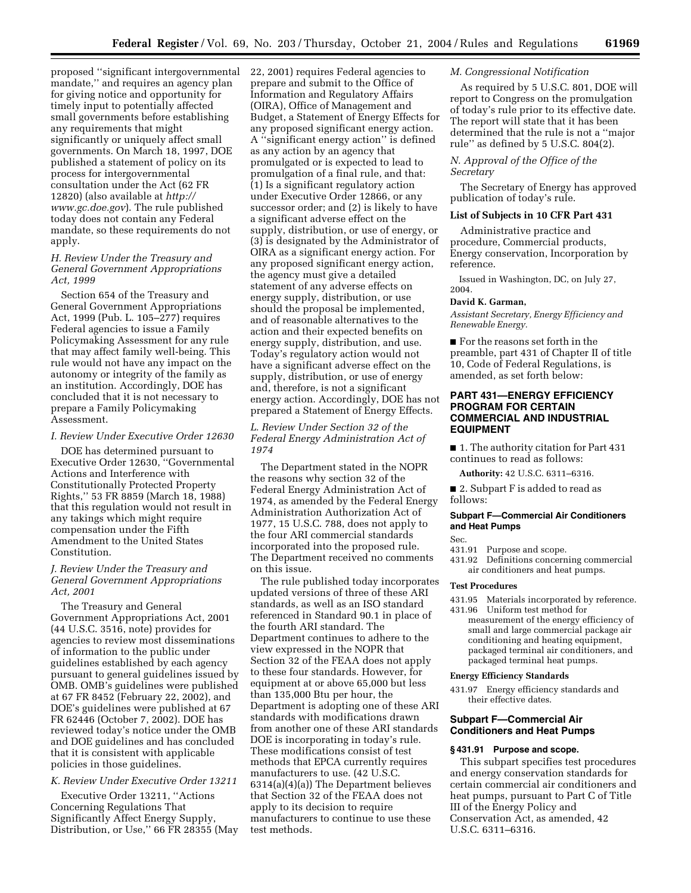proposed ''significant intergovernmental mandate,'' and requires an agency plan for giving notice and opportunity for timely input to potentially affected small governments before establishing any requirements that might significantly or uniquely affect small governments. On March 18, 1997, DOE published a statement of policy on its process for intergovernmental consultation under the Act (62 FR 12820) (also available at *http:// www.gc.doe.gov*). The rule published today does not contain any Federal mandate, so these requirements do not apply.

# *H. Review Under the Treasury and General Government Appropriations Act, 1999*

Section 654 of the Treasury and General Government Appropriations Act, 1999 (Pub. L. 105–277) requires Federal agencies to issue a Family Policymaking Assessment for any rule that may affect family well-being. This rule would not have any impact on the autonomy or integrity of the family as an institution. Accordingly, DOE has concluded that it is not necessary to prepare a Family Policymaking Assessment.

#### *I. Review Under Executive Order 12630*

DOE has determined pursuant to Executive Order 12630, ''Governmental Actions and Interference with Constitutionally Protected Property Rights,'' 53 FR 8859 (March 18, 1988) that this regulation would not result in any takings which might require compensation under the Fifth Amendment to the United States Constitution.

# *J. Review Under the Treasury and General Government Appropriations Act, 2001*

The Treasury and General Government Appropriations Act, 2001 (44 U.S.C. 3516, note) provides for agencies to review most disseminations of information to the public under guidelines established by each agency pursuant to general guidelines issued by OMB. OMB's guidelines were published at 67 FR 8452 (February 22, 2002), and DOE's guidelines were published at 67 FR 62446 (October 7, 2002). DOE has reviewed today's notice under the OMB and DOE guidelines and has concluded that it is consistent with applicable policies in those guidelines.

# *K. Review Under Executive Order 13211*

Executive Order 13211, ''Actions Concerning Regulations That Significantly Affect Energy Supply, Distribution, or Use,'' 66 FR 28355 (May 22, 2001) requires Federal agencies to prepare and submit to the Office of Information and Regulatory Affairs (OIRA), Office of Management and Budget, a Statement of Energy Effects for any proposed significant energy action. A ''significant energy action'' is defined as any action by an agency that promulgated or is expected to lead to promulgation of a final rule, and that: (1) Is a significant regulatory action under Executive Order 12866, or any successor order; and (2) is likely to have a significant adverse effect on the supply, distribution, or use of energy, or (3) is designated by the Administrator of OIRA as a significant energy action. For any proposed significant energy action, the agency must give a detailed statement of any adverse effects on energy supply, distribution, or use should the proposal be implemented, and of reasonable alternatives to the action and their expected benefits on energy supply, distribution, and use. Today's regulatory action would not have a significant adverse effect on the supply, distribution, or use of energy and, therefore, is not a significant energy action. Accordingly, DOE has not prepared a Statement of Energy Effects.

# *L. Review Under Section 32 of the Federal Energy Administration Act of 1974*

The Department stated in the NOPR the reasons why section 32 of the Federal Energy Administration Act of 1974, as amended by the Federal Energy Administration Authorization Act of 1977, 15 U.S.C. 788, does not apply to the four ARI commercial standards incorporated into the proposed rule. The Department received no comments on this issue.

The rule published today incorporates updated versions of three of these ARI standards, as well as an ISO standard referenced in Standard 90.1 in place of the fourth ARI standard. The Department continues to adhere to the view expressed in the NOPR that Section 32 of the FEAA does not apply to these four standards. However, for equipment at or above 65,000 but less than 135,000 Btu per hour, the Department is adopting one of these ARI standards with modifications drawn from another one of these ARI standards DOE is incorporating in today's rule. These modifications consist of test methods that EPCA currently requires manufacturers to use. (42 U.S.C. 6314(a)(4)(a)) The Department believes that Section 32 of the FEAA does not apply to its decision to require manufacturers to continue to use these test methods.

# *M. Congressional Notification*

As required by 5 U.S.C. 801, DOE will report to Congress on the promulgation of today's rule prior to its effective date. The report will state that it has been determined that the rule is not a ''major rule'' as defined by 5 U.S.C. 804(2).

# *N. Approval of the Office of the Secretary*

The Secretary of Energy has approved publication of today's rule.

#### **List of Subjects in 10 CFR Part 431**

Administrative practice and procedure, Commercial products, Energy conservation, Incorporation by reference.

Issued in Washington, DC, on July 27, 2004.

# **David K. Garman,**

*Assistant Secretary, Energy Efficiency and Renewable Energy.*

■ For the reasons set forth in the preamble, part 431 of Chapter II of title 10, Code of Federal Regulations, is amended, as set forth below:

# **PART 431—ENERGY EFFICIENCY PROGRAM FOR CERTAIN COMMERCIAL AND INDUSTRIAL EQUIPMENT**

■ 1. The authority citation for Part 431 continues to read as follows:

**Authority:** 42 U.S.C. 6311–6316.

■ 2. Subpart F is added to read as follows:

#### **Subpart F—Commercial Air Conditioners and Heat Pumps**

Sec.

- 431.91 Purpose and scope.
- 431.92 Definitions concerning commercial air conditioners and heat pumps.

### **Test Procedures**

- 431.95 Materials incorporated by reference. 431.96 Uniform test method for
- measurement of the energy efficiency of small and large commercial package air conditioning and heating equipment, packaged terminal air conditioners, and packaged terminal heat pumps.

# **Energy Efficiency Standards**

431.97 Energy efficiency standards and their effective dates.

# **Subpart F—Commercial Air Conditioners and Heat Pumps**

# **§ 431.91 Purpose and scope.**

This subpart specifies test procedures and energy conservation standards for certain commercial air conditioners and heat pumps, pursuant to Part C of Title III of the Energy Policy and Conservation Act, as amended, 42 U.S.C. 6311–6316.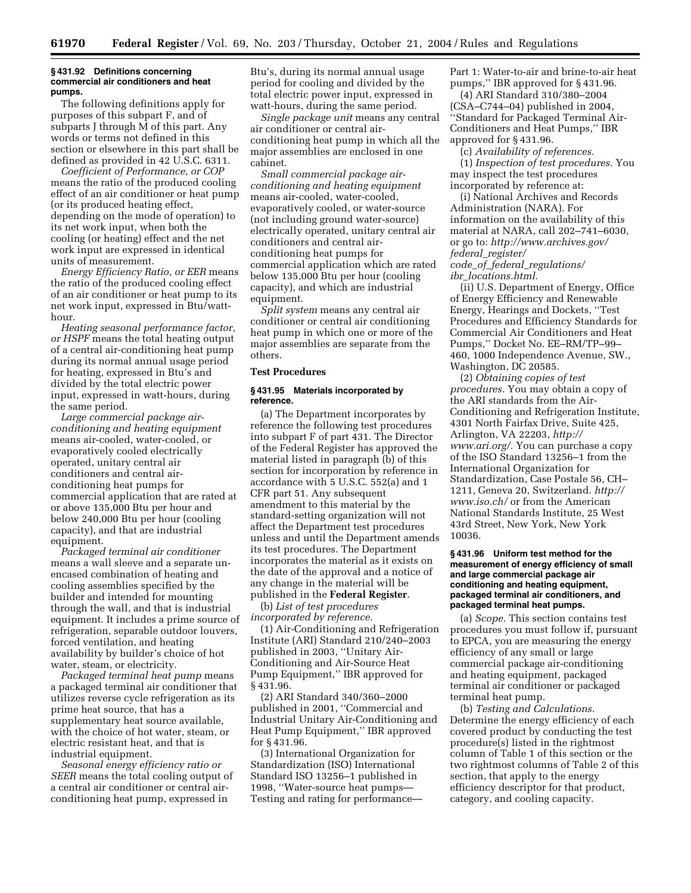#### **§ 431.92 Definitions concerning commercial air conditioners and heat pumps.**

The following definitions apply for purposes of this subpart F, and of subparts J through M of this part. Any words or terms not defined in this section or elsewhere in this part shall be defined as provided in 42 U.S.C. 6311.

*Coefficient of Performance, or COP* means the ratio of the produced cooling effect of an air conditioner or heat pump (or its produced heating effect, depending on the mode of operation) to its net work input, when both the cooling (or heating) effect and the net work input are expressed in identical units of measurement.

*Energy Efficiency Ratio, or EER* means the ratio of the produced cooling effect of an air conditioner or heat pump to its net work input, expressed in Btu/watthour.

*Heating seasonal performance factor, or HSPF* means the total heating output of a central air-conditioning heat pump during its normal annual usage period for heating, expressed in Btu's and divided by the total electric power input, expressed in watt-hours, during the same period.

*Large commercial package airconditioning and heating equipment* means air-cooled, water-cooled, or evaporatively cooled electrically operated, unitary central air conditioners and central airconditioning heat pumps for commercial application that are rated at or above 135,000 Btu per hour and below 240,000 Btu per hour (cooling capacity), and that are industrial equipment.

*Packaged terminal air conditioner* means a wall sleeve and a separate unencased combination of heating and cooling assemblies specified by the builder and intended for mounting through the wall, and that is industrial equipment. It includes a prime source of refrigeration, separable outdoor louvers, forced ventilation, and heating availability by builder's choice of hot water, steam, or electricity.

*Packaged terminal heat pump* means a packaged terminal air conditioner that utilizes reverse cycle refrigeration as its prime heat source, that has a supplementary heat source available, with the choice of hot water, steam, or electric resistant heat, and that is industrial equipment.

*Seasonal energy efficiency ratio or SEER* means the total cooling output of a central air conditioner or central airconditioning heat pump, expressed in

Btu's, during its normal annual usage period for cooling and divided by the total electric power input, expressed in watt-hours, during the same period.

*Single package unit* means any central air conditioner or central airconditioning heat pump in which all the major assemblies are enclosed in one cabinet.

*Small commercial package airconditioning and heating equipment* means air-cooled, water-cooled, evaporatively cooled, or water-source (not including ground water-source) electrically operated, unitary central air conditioners and central airconditioning heat pumps for commercial application which are rated below 135,000 Btu per hour (cooling capacity), and which are industrial equipment.

*Split system* means any central air conditioner or central air conditioning heat pump in which one or more of the major assemblies are separate from the others.

#### **Test Procedures**

#### **§ 431.95 Materials incorporated by reference.**

(a) The Department incorporates by reference the following test procedures into subpart F of part 431. The Director of the Federal Register has approved the material listed in paragraph (b) of this section for incorporation by reference in accordance with 5 U.S.C. 552(a) and 1 CFR part 51. Any subsequent amendment to this material by the standard-setting organization will not affect the Department test procedures unless and until the Department amends its test procedures. The Department incorporates the material as it exists on the date of the approval and a notice of any change in the material will be published in the **Federal Register**.

(b) *List of test procedures incorporated by reference.*

(1) Air-Conditioning and Refrigeration Institute (ARI) Standard 210/240–2003 published in 2003, ''Unitary Air-Conditioning and Air-Source Heat Pump Equipment,'' IBR approved for § 431.96.

(2) ARI Standard 340/360–2000 published in 2001, ''Commercial and Industrial Unitary Air-Conditioning and Heat Pump Equipment,'' IBR approved for § 431.96.

(3) International Organization for Standardization (ISO) International Standard ISO 13256–1 published in 1998, ''Water-source heat pumps— Testing and rating for performancePart 1: Water-to-air and brine-to-air heat pumps,'' IBR approved for § 431.96.

(4) ARI Standard 310/380–2004 (CSA–C744–04) published in 2004, ''Standard for Packaged Terminal Air-Conditioners and Heat Pumps,'' IBR approved for § 431.96.

(c) *Availability of references.*

(1) *Inspection of test procedures.* You may inspect the test procedures incorporated by reference at:

(i) National Archives and Records Administration (NARA). For information on the availability of this material at NARA, call 202–741–6030, or go to: *http://www.archives.gov/ federal*\_*register/ code*\_*of*\_*federal*\_*regulations/ ibr*\_*locations.html.*

(ii) U.S. Department of Energy, Office of Energy Efficiency and Renewable Energy, Hearings and Dockets, ''Test Procedures and Efficiency Standards for Commercial Air Conditioners and Heat Pumps,'' Docket No. EE–RM/TP–99– 460, 1000 Independence Avenue, SW., Washington, DC 20585.

(2) *Obtaining copies of test procedures.* You may obtain a copy of the ARI standards from the Air-Conditioning and Refrigeration Institute, 4301 North Fairfax Drive, Suite 425, Arlington, VA 22203, *http:// www.ari.org/.* You can purchase a copy of the ISO Standard 13256–1 from the International Organization for Standardization, Case Postale 56, CH– 1211, Geneva 20, Switzerland. *http:// www.iso.ch/* or from the American National Standards Institute, 25 West 43rd Street, New York, New York 10036.

#### **§ 431.96 Uniform test method for the measurement of energy efficiency of small and large commercial package air conditioning and heating equipment, packaged terminal air conditioners, and packaged terminal heat pumps.**

(a) *Scope.* This section contains test procedures you must follow if, pursuant to EPCA, you are measuring the energy efficiency of any small or large commercial package air-conditioning and heating equipment, packaged terminal air conditioner or packaged terminal heat pump.

(b) *Testing and Calculations.* Determine the energy efficiency of each covered product by conducting the test procedure(s) listed in the rightmost column of Table 1 of this section or the two rightmost columns of Table 2 of this section, that apply to the energy efficiency descriptor for that product, category, and cooling capacity.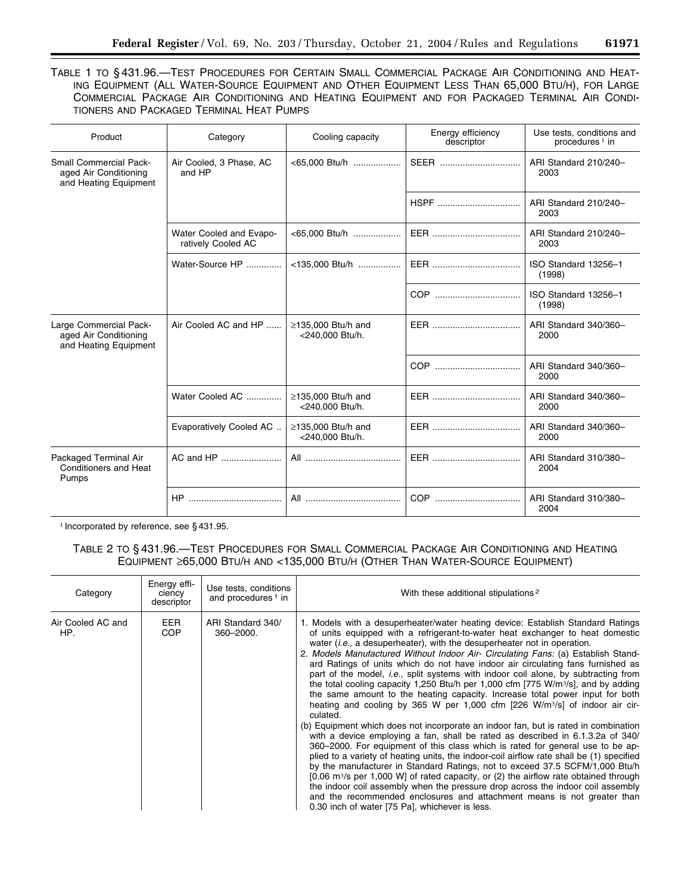TABLE 1 TO § 431.96.—TEST PROCEDURES FOR CERTAIN SMALL COMMERCIAL PACKAGE AIR CONDITIONING AND HEAT-ING EQUIPMENT (ALL WATER-SOURCE EQUIPMENT AND OTHER EQUIPMENT LESS THAN 65,000 BTU/H), FOR LARGE COMMERCIAL PACKAGE AIR CONDITIONING AND HEATING EQUIPMENT AND FOR PACKAGED TERMINAL AIR CONDI-TIONERS AND PACKAGED TERMINAL HEAT PUMPS

| Product                                                                         | Category                                      | Cooling capacity                            | Energy efficiency<br>descriptor | Use tests, conditions and<br>procedures $1$ in |
|---------------------------------------------------------------------------------|-----------------------------------------------|---------------------------------------------|---------------------------------|------------------------------------------------|
| <b>Small Commercial Pack-</b><br>aged Air Conditioning<br>and Heating Equipment | Air Cooled, 3 Phase, AC<br>and HP             | <65,000 Btu/h                               |                                 | ARI Standard 210/240-<br>2003                  |
|                                                                                 |                                               |                                             |                                 | ARI Standard 210/240-<br>2003                  |
|                                                                                 | Water Cooled and Evapo-<br>ratively Cooled AC | $<65,000$ Btu/h                             |                                 | ARI Standard 210/240-<br>2003                  |
|                                                                                 | Water-Source HP                               | <135,000 Btu/h                              |                                 | ISO Standard 13256-1<br>(1998)                 |
|                                                                                 |                                               |                                             |                                 | ISO Standard 13256-1<br>(1998)                 |
| Large Commercial Pack-<br>aged Air Conditioning<br>and Heating Equipment        | Air Cooled AC and HP                          | $\geq$ 135.000 Btu/h and<br><240.000 Btu/h. |                                 | ARI Standard 340/360-<br>2000                  |
|                                                                                 |                                               |                                             |                                 | ARI Standard 340/360-<br>2000                  |
|                                                                                 | Water Cooled AC                               | $\geq$ 135.000 Btu/h and<br><240.000 Btu/h. |                                 | ARI Standard 340/360-<br>2000                  |
|                                                                                 | Evaporatively Cooled AC                       | $\geq$ 135,000 Btu/h and<br><240,000 Btu/h. |                                 | ARI Standard 340/360-<br>2000                  |
| Packaged Terminal Air<br>Conditioners and Heat<br>Pumps                         | AC and HP                                     |                                             |                                 | ARI Standard 310/380-<br>2004                  |
|                                                                                 |                                               |                                             |                                 | ARI Standard 310/380-<br>2004                  |

<sup>1</sup> Incorporated by reference, see § 431.95.

# TABLE 2 TO § 431.96.—TEST PROCEDURES FOR SMALL COMMERCIAL PACKAGE AIR CONDITIONING AND HEATING EQUIPMENT ≥65,000 BTU/H AND <135,000 BTU/H (OTHER THAN WATER-SOURCE EQUIPMENT)

| Category                 | Energy effi-<br>ciency<br>descriptor | Use tests, conditions<br>and procedures <sup>1</sup> in | With these additional stipulations <sup>2</sup>                                                                                                                                                                                                                                                                                                                                                                                                                                                                                                                                                                                                                                                                                                                                                                                                                                                                                                                                                                                                                                                                                                                                                                                                                                                                                                                                                                                                                                                                                                                               |
|--------------------------|--------------------------------------|---------------------------------------------------------|-------------------------------------------------------------------------------------------------------------------------------------------------------------------------------------------------------------------------------------------------------------------------------------------------------------------------------------------------------------------------------------------------------------------------------------------------------------------------------------------------------------------------------------------------------------------------------------------------------------------------------------------------------------------------------------------------------------------------------------------------------------------------------------------------------------------------------------------------------------------------------------------------------------------------------------------------------------------------------------------------------------------------------------------------------------------------------------------------------------------------------------------------------------------------------------------------------------------------------------------------------------------------------------------------------------------------------------------------------------------------------------------------------------------------------------------------------------------------------------------------------------------------------------------------------------------------------|
| Air Cooled AC and<br>HP. | <b>EER</b><br><b>COP</b>             | ARI Standard 340/<br>360-2000.                          | 1. Models with a desuperheater/water heating device: Establish Standard Ratings<br>of units equipped with a refrigerant-to-water heat exchanger to heat domestic<br>water <i>(i.e.,</i> a desuperheater), with the desuperheater not in operation.<br>2. Models Manufactured Without Indoor Air- Circulating Fans: (a) Establish Stand-<br>ard Ratings of units which do not have indoor air circulating fans furnished as<br>part of the model, i.e., split systems with indoor coil alone, by subtracting from<br>the total cooling capacity 1,250 Btu/h per 1,000 cfm [775 W/m <sup>3</sup> /s], and by adding<br>the same amount to the heating capacity. Increase total power input for both<br>heating and cooling by 365 W per 1,000 cfm $[226 \text{ W/m}^3/\text{s}]$ of indoor air cir-<br>culated.<br>(b) Equipment which does not incorporate an indoor fan, but is rated in combination<br>with a device employing a fan, shall be rated as described in 6.1.3.2a of 340/<br>360–2000. For equipment of this class which is rated for general use to be ap-<br>plied to a variety of heating units, the indoor-coil airflow rate shall be (1) specified<br>by the manufacturer in Standard Ratings, not to exceed 37.5 SCFM/1,000 Btu/h<br>$[0.06 \text{ m}^3/\text{s}$ per 1,000 W] of rated capacity, or (2) the airflow rate obtained through<br>the indoor coil assembly when the pressure drop across the indoor coil assembly<br>and the recommended enclosures and attachment means is not greater than<br>0.30 inch of water [75 Pa], whichever is less. |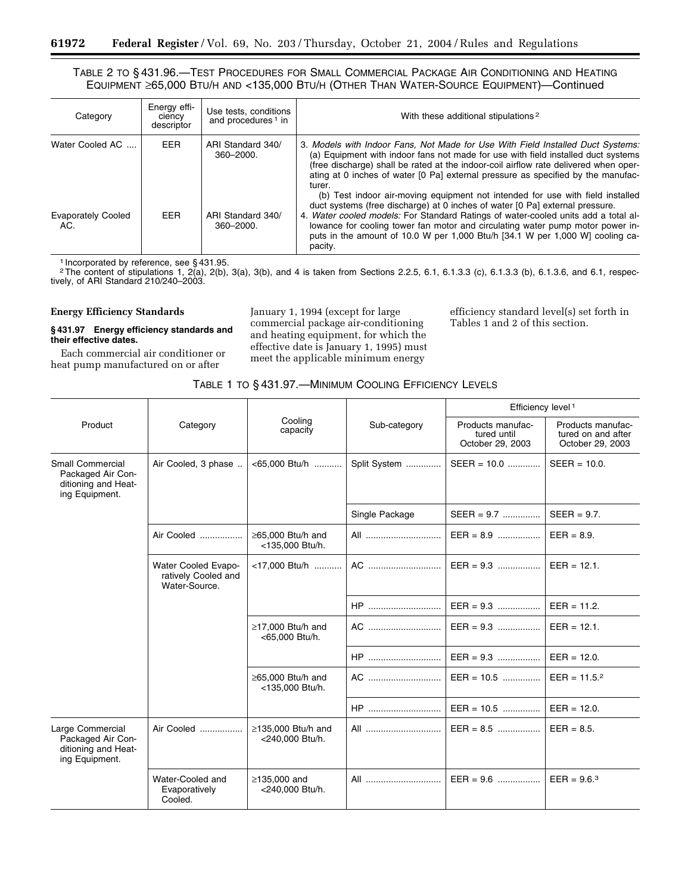# TABLE 2 TO § 431.96.—TEST PROCEDURES FOR SMALL COMMERCIAL PACKAGE AIR CONDITIONING AND HEATING EQUIPMENT ≥65,000 BTU/H AND <135,000 BTU/H (OTHER THAN WATER-SOURCE EQUIPMENT)—Continued

| Category                         | Energy effi-<br>ciency<br>descriptor | Use tests, conditions<br>and procedures <sup>1</sup> in | With these additional stipulations <sup>2</sup>                                                                                                                                                                                                                                                                                                                                                                                    |
|----------------------------------|--------------------------------------|---------------------------------------------------------|------------------------------------------------------------------------------------------------------------------------------------------------------------------------------------------------------------------------------------------------------------------------------------------------------------------------------------------------------------------------------------------------------------------------------------|
| Water Cooled AC                  | <b>EER</b>                           | ARI Standard 340/<br>360-2000.                          | 3. Models with Indoor Fans, Not Made for Use With Field Installed Duct Systems:<br>(a) Equipment with indoor fans not made for use with field installed duct systems<br>(free discharge) shall be rated at the indoor-coil airflow rate delivered when oper-<br>ating at 0 inches of water [0 Pa] external pressure as specified by the manufac-<br>turer.                                                                         |
| <b>Evaporately Cooled</b><br>AC. | EER.                                 | ARI Standard 340/<br>360-2000.                          | (b) Test indoor air-moving equipment not intended for use with field installed<br>duct systems (free discharge) at 0 inches of water [0 Pa] external pressure.<br>4. Water cooled models: For Standard Ratings of water-cooled units add a total al-<br>lowance for cooling tower fan motor and circulating water pump motor power in-<br>puts in the amount of 10.0 W per 1,000 Btu/h [34.1 W per 1,000 W] cooling ca-<br>pacity. |

1 Incorporated by reference, see § 431.95.<br><sup>2</sup>The content of stipulations 1, 2(a), 2(b), 3(a), 3(b), and 4 is taken from Sections 2.2.5, 6.1, 6.1.3.3 (c), 6.1.3.3 (b), 6.1.3.6, and 6.1, respectively, of ARI Standard 210/240–2003.

### **Energy Efficiency Standards**

۳

#### **§ 431.97 Energy efficiency standards and their effective dates.**

Each commercial air conditioner or heat pump manufactured on or after

January 1, 1994 (except for large commercial package air-conditioning and heating equipment, for which the effective date is January 1, 1995) must meet the applicable minimum energy

efficiency standard level(s) set forth in Tables 1 and 2 of this section.

|  | TABLE 1 TO § 431.97.—MINIMUM COOLING EFFICIENCY LEVELS |  |  |  |
|--|--------------------------------------------------------|--|--|--|
|--|--------------------------------------------------------|--|--|--|

|                                                                                       |                                                             |                                             |                | Efficiency level <sup>1</sup>                        |                                                             |
|---------------------------------------------------------------------------------------|-------------------------------------------------------------|---------------------------------------------|----------------|------------------------------------------------------|-------------------------------------------------------------|
| Product                                                                               | Category                                                    | Cooling<br>capacity                         | Sub-category   | Products manufac-<br>tured until<br>October 29, 2003 | Products manufac-<br>tured on and after<br>October 29, 2003 |
| <b>Small Commercial</b><br>Packaged Air Con-<br>ditioning and Heat-<br>ing Equipment. | Air Cooled, 3 phase                                         | <65,000 Btu/h                               | Split System   | $SEER = 10.0$                                        | $SEER = 10.0$ .                                             |
|                                                                                       |                                                             |                                             | Single Package | $SEER = 9.7$                                         | $SEER = 9.7$ .                                              |
|                                                                                       | Air Cooled                                                  | $\geq$ 65,000 Btu/h and<br><135,000 Btu/h.  | All <u></u>    | $EER = 8.9$                                          | $EER = 8.9.$                                                |
|                                                                                       | Water Cooled Evapo-<br>ratively Cooled and<br>Water-Source. | <17.000 Btu/h                               | AC             | $EER = 9.3$                                          | $EER = 12.1$ .                                              |
|                                                                                       |                                                             |                                             | <b>HP</b>      | $EER = 9.3$                                          | $EER = 11.2$ .                                              |
|                                                                                       |                                                             | $\geq$ 17,000 Btu/h and<br><65,000 Btu/h.   | AC             | $EER = 9.3$                                          | $EER = 12.1$ .                                              |
|                                                                                       |                                                             |                                             | <b>HP</b>      | $EER = 9.3$                                          | $EER = 12.0.$                                               |
|                                                                                       |                                                             | $\geq$ 65,000 Btu/h and<br><135,000 Btu/h.  | AC             | $EER = 10.5$                                         | $EER = 11.5.2$                                              |
|                                                                                       |                                                             |                                             | $HP$           | $EER = 10.5$                                         | $EER = 12.0.$                                               |
| Large Commercial<br>Packaged Air Con-<br>ditioning and Heat-<br>ing Equipment.        | Air Cooled                                                  | $\geq$ 135,000 Btu/h and<br><240,000 Btu/h. | All            | $EER = 8.5$                                          | $EER = 8.5.$                                                |
|                                                                                       | Water-Cooled and<br>Evaporatively<br>Cooled.                | ≥135,000 and<br><240,000 Btu/h.             | All            |                                                      | $EER = 9.63$                                                |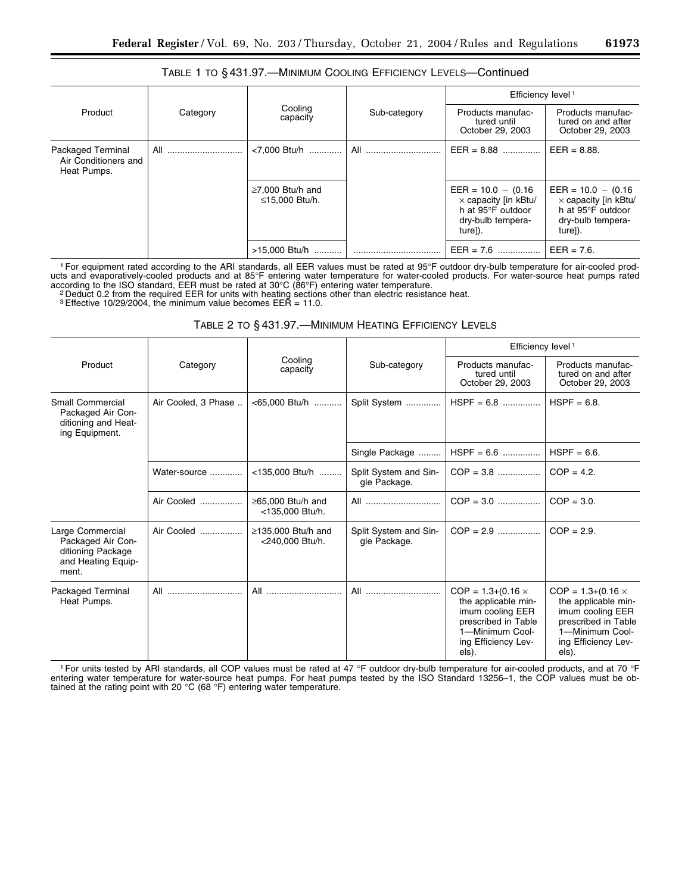|                                                          | Category | Cooling<br>capacity                      | Sub-category | Efficiency level <sup>1</sup>                                                                             |                                                                                                           |  |
|----------------------------------------------------------|----------|------------------------------------------|--------------|-----------------------------------------------------------------------------------------------------------|-----------------------------------------------------------------------------------------------------------|--|
| Product                                                  |          |                                          |              | Products manufac-<br>tured until<br>October 29, 2003                                                      | Products manufac-<br>tured on and after<br>October 29, 2003                                               |  |
| Packaged Terminal<br>Air Conditioners and<br>Heat Pumps. | All      | <7,000 Btu/h                             | All          | $EER = 8.88$                                                                                              | $EER = 8.88.$                                                                                             |  |
|                                                          |          | $\geq$ 7,000 Btu/h and<br>≤15,000 Btu/h. |              | $EER = 10.0 - (0.16)$<br>$\times$ capacity [in kBtu/<br>h at 95°F outdoor<br>dry-bulb tempera-<br>ture]). | $EER = 10.0 - (0.16)$<br>$\times$ capacity [in kBtu/<br>h at 95°F outdoor<br>dry-bulb tempera-<br>ture]). |  |
|                                                          |          | >15,000 Btu/h                            |              | $EER = 7.6$                                                                                               | $EER = 7.6$ .                                                                                             |  |

# TABLE 1 TO § 431.97.—MINIMUM COOLING EFFICIENCY LEVELS—Continued

1For equipment rated according to the ARI standards, all EER values must be rated at 95°F outdoor dry-bulb temperature for air-cooled products and evaporatively-cooled products and at 85°F entering water temperature for water-cooled products. For water-source heat pumps rated

according to the ISO standard, EER must be rated at 30°C (86°F) entering water temperature.<br><sup>2</sup> Deduct 0.2 from the required EER for units with heating sections other than electric resistance heat.

3Effective 10/29/2004, the minimum value becomes EER = 11.0.

# TABLE 2 TO § 431.97.—MINIMUM HEATING EFFICIENCY LEVELS

|                                                                                           | Category            | Cooling<br>capacity                         | Sub-category                          | Efficiency level <sup>1</sup>                                                                                                                   |                                                                                                                                                 |
|-------------------------------------------------------------------------------------------|---------------------|---------------------------------------------|---------------------------------------|-------------------------------------------------------------------------------------------------------------------------------------------------|-------------------------------------------------------------------------------------------------------------------------------------------------|
| Product                                                                                   |                     |                                             |                                       | Products manufac-<br>tured until<br>October 29, 2003                                                                                            | Products manufac-<br>tured on and after<br>October 29, 2003                                                                                     |
| Small Commercial<br>Packaged Air Con-<br>ditioning and Heat-<br>ing Equipment.            | Air Cooled, 3 Phase | <65,000 Btu/h                               | Split System                          | $HSPF = 6.8$                                                                                                                                    | $HSPF = 6.8$ .                                                                                                                                  |
|                                                                                           |                     |                                             | Single Package                        | $HSPF = 6.6$                                                                                                                                    | $HSPF = 6.6$ .                                                                                                                                  |
|                                                                                           | Water-source        | <135,000 Btu/h                              | Split System and Sin-<br>gle Package. | $COP = 3.8$                                                                                                                                     | $COP = 4.2$ .                                                                                                                                   |
|                                                                                           | Air Cooled          | $\geq$ 65.000 Btu/h and<br><135,000 Btu/h.  | All <u></u>                           | $COP = 3.0$                                                                                                                                     | $COP = 3.0$ .                                                                                                                                   |
| Large Commercial<br>Packaged Air Con-<br>ditioning Package<br>and Heating Equip-<br>ment. | Air Cooled          | $\geq$ 135,000 Btu/h and<br><240.000 Btu/h. | Split System and Sin-<br>gle Package. | $COP = 2.9$                                                                                                                                     | $COP = 2.9$ .                                                                                                                                   |
| Packaged Terminal<br>Heat Pumps.                                                          | All                 | All                                         | All                                   | $COP = 1.3 + (0.16 \times$<br>the applicable min-<br>imum cooling EER<br>prescribed in Table<br>1-Minimum Cool-<br>ing Efficiency Lev-<br>els). | $COP = 1.3 + (0.16 \times$<br>the applicable min-<br>imum cooling EER<br>prescribed in Table<br>1-Minimum Cool-<br>ing Efficiency Lev-<br>els). |

<sup>1</sup> For units tested by ARI standards, all COP values must be rated at 47 °F outdoor dry-bulb temperature for air-cooled products, and at 70 °F entering water temperature for water-source heat pumps. For heat pumps tested tained at the rating point with 20 °C (68 °F) entering water temperature.